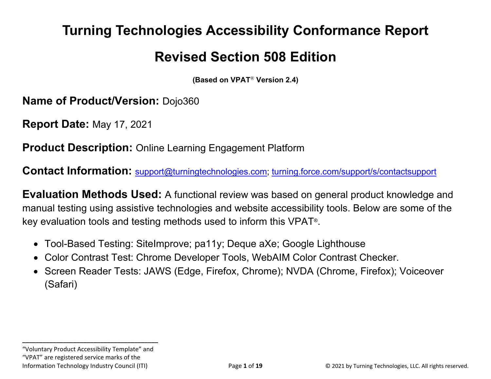# **Turning Technologies Accessibility Conformance Report**

# **Revised Section 508 Edition**

**(Based on VPAT**® **Version 2.4)**

**Name of Product/Version:** Dojo360

**Report Date:** May 17, 2021

**Product Description:** Online Learning Engagement Platform

**Contact Information:** [support@turningtechnologies.com;](mailto:support@turningtechnologies.com) [turning.force.com/support/s/contactsupport](https://turning.force.com/support/s/contactsupport)

**Evaluation Methods Used:** A functional review was based on general product knowledge and manual testing using assistive technologies and website accessibility tools. Below are some of the key evaluation tools and testing methods used to inform this VPAT®.

- Tool-Based Testing: SiteImprove; pa11y; Deque aXe; Google Lighthouse
- Color Contrast Test: Chrome Developer Tools, WebAIM Color Contrast Checker.
- Screen Reader Tests: JAWS (Edge, Firefox, Chrome); NVDA (Chrome, Firefox); Voiceover (Safari)

**\_\_\_\_\_\_\_\_\_\_\_\_\_\_\_\_\_\_\_\_\_\_\_\_\_\_\_\_\_\_\_\_\_\_\_\_\_\_\_\_** "Voluntary Product Accessibility Template" and

"VPAT" are registered service marks of the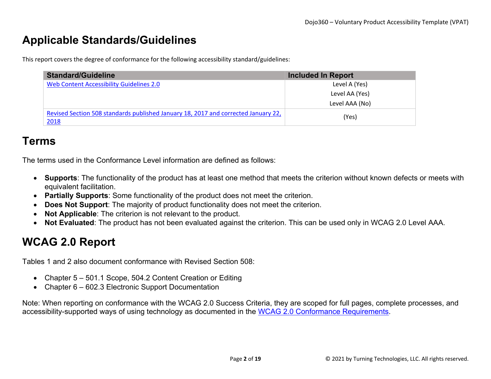## **Applicable Standards/Guidelines**

This report covers the degree of conformance for the following accessibility standard/guidelines:

| <b>Standard/Guideline</b>                                                                  | <b>Included In Report</b> |
|--------------------------------------------------------------------------------------------|---------------------------|
| Web Content Accessibility Guidelines 2.0                                                   | Level A (Yes)             |
|                                                                                            | Level AA (Yes)            |
|                                                                                            | Level AAA (No)            |
| Revised Section 508 standards published January 18, 2017 and corrected January 22,<br>2018 | (Yes)                     |

#### **Terms**

The terms used in the Conformance Level information are defined as follows:

- **Supports**: The functionality of the product has at least one method that meets the criterion without known defects or meets with equivalent facilitation.
- **Partially Supports**: Some functionality of the product does not meet the criterion.
- **Does Not Support**: The majority of product functionality does not meet the criterion.
- **Not Applicable**: The criterion is not relevant to the product.
- **Not Evaluated**: The product has not been evaluated against the criterion. This can be used only in WCAG 2.0 Level AAA.

## **WCAG 2.0 Report**

Tables 1 and 2 also document conformance with Revised Section 508:

- Chapter 5 501.1 Scope, 504.2 Content Creation or Editing
- Chapter 6 602.3 Electronic Support Documentation

Note: When reporting on conformance with the WCAG 2.0 Success Criteria, they are scoped for full pages, complete processes, and accessibility-supported ways of using technology as documented in the [WCAG 2.0 Conformance Requirements.](https://www.w3.org/TR/WCAG20/#conformance-reqs)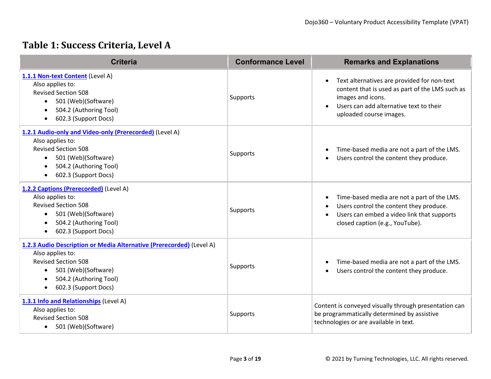#### **Table 1: Success Criteria, Level A**

| <b>Criteria</b>                                                                                                                                                                                                                        | <b>Conformance Level</b> | <b>Remarks and Explanations</b>                                                                                                                                                                        |
|----------------------------------------------------------------------------------------------------------------------------------------------------------------------------------------------------------------------------------------|--------------------------|--------------------------------------------------------------------------------------------------------------------------------------------------------------------------------------------------------|
| 1.1.1 Non-text Content (Level A)<br>Also applies to:<br><b>Revised Section 508</b><br>501 (Web)(Software)<br>$\bullet$<br>504.2 (Authoring Tool)<br>$\bullet$<br>602.3 (Support Docs)<br>$\bullet$                                     | Supports                 | Text alternatives are provided for non-text<br>$\bullet$<br>content that is used as part of the LMS such as<br>images and icons.<br>Users can add alternative text to their<br>uploaded course images. |
| 1.2.1 Audio-only and Video-only (Prerecorded) (Level A)<br>Also applies to:<br><b>Revised Section 508</b><br>501 (Web)(Software)<br>$\bullet$<br>504.2 (Authoring Tool)<br>$\bullet$<br>602.3 (Support Docs)<br>$\bullet$              | Supports                 | Time-based media are not a part of the LMS.<br>Users control the content they produce.                                                                                                                 |
| 1.2.2 Captions (Prerecorded) (Level A)<br>Also applies to:<br><b>Revised Section 508</b><br>501 (Web)(Software)<br>$\bullet$<br>504.2 (Authoring Tool)<br>$\bullet$<br>602.3 (Support Docs)<br>$\bullet$                               | Supports                 | Time-based media are not a part of the LMS.<br>$\bullet$<br>Users control the content they produce.<br>Users can embed a video link that supports<br>closed caption (e.g., YouTube).                   |
| 1.2.3 Audio Description or Media Alternative (Prerecorded) (Level A)<br>Also applies to:<br><b>Revised Section 508</b><br>501 (Web)(Software)<br>$\bullet$<br>504.2 (Authoring Tool)<br>$\bullet$<br>602.3 (Support Docs)<br>$\bullet$ | Supports                 | Time-based media are not a part of the LMS.<br>$\bullet$<br>Users control the content they produce.                                                                                                    |
| 1.3.1 Info and Relationships (Level A)<br>Also applies to:<br><b>Revised Section 508</b><br>501 (Web)(Software)<br>$\bullet$                                                                                                           | Supports                 | Content is conveyed visually through presentation can<br>be programmatically determined by assistive<br>technologies or are available in text.                                                         |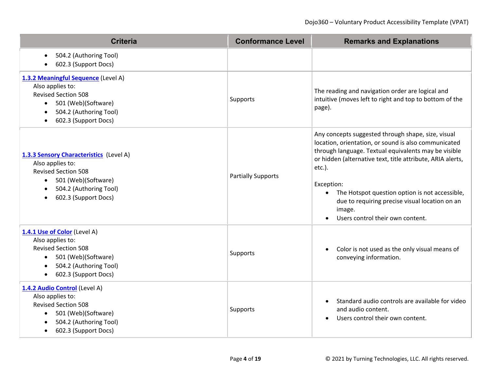| <b>Criteria</b>                                                                                                                                                                                | <b>Conformance Level</b>  | <b>Remarks and Explanations</b>                                                                                                                                                                                                                                                                                                                                                                                         |  |
|------------------------------------------------------------------------------------------------------------------------------------------------------------------------------------------------|---------------------------|-------------------------------------------------------------------------------------------------------------------------------------------------------------------------------------------------------------------------------------------------------------------------------------------------------------------------------------------------------------------------------------------------------------------------|--|
| 504.2 (Authoring Tool)<br>$\bullet$<br>602.3 (Support Docs)                                                                                                                                    |                           |                                                                                                                                                                                                                                                                                                                                                                                                                         |  |
| 1.3.2 Meaningful Sequence (Level A)<br>Also applies to:<br><b>Revised Section 508</b><br>501 (Web)(Software)<br>504.2 (Authoring Tool)<br>602.3 (Support Docs)<br>$\bullet$                    | Supports                  | The reading and navigation order are logical and<br>intuitive (moves left to right and top to bottom of the<br>page).                                                                                                                                                                                                                                                                                                   |  |
| 1.3.3 Sensory Characteristics (Level A)<br>Also applies to:<br><b>Revised Section 508</b><br>501 (Web)(Software)<br>$\bullet$<br>504.2 (Authoring Tool)<br>602.3 (Support Docs)                | <b>Partially Supports</b> | Any concepts suggested through shape, size, visual<br>location, orientation, or sound is also communicated<br>through language. Textual equivalents may be visible<br>or hidden (alternative text, title attribute, ARIA alerts,<br>etc.).<br>Exception:<br>The Hotspot question option is not accessible,<br>$\bullet$<br>due to requiring precise visual location on an<br>image.<br>Users control their own content. |  |
| 1.4.1 Use of Color (Level A)<br>Also applies to:<br><b>Revised Section 508</b><br>501 (Web)(Software)<br>$\bullet$<br>504.2 (Authoring Tool)<br>$\bullet$<br>602.3 (Support Docs)<br>$\bullet$ | Supports                  | Color is not used as the only visual means of<br>conveying information.                                                                                                                                                                                                                                                                                                                                                 |  |
| 1.4.2 Audio Control (Level A)<br>Also applies to:<br><b>Revised Section 508</b><br>501 (Web)(Software)<br>504.2 (Authoring Tool)<br>602.3 (Support Docs)                                       | Supports                  | Standard audio controls are available for video<br>and audio content.<br>Users control their own content.                                                                                                                                                                                                                                                                                                               |  |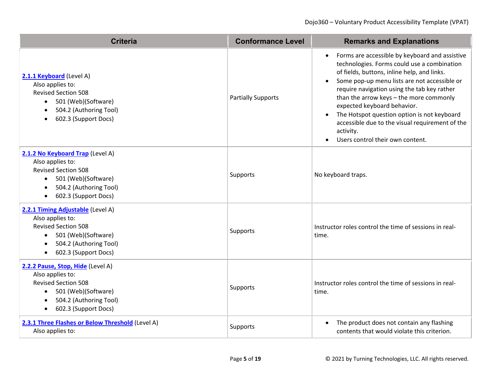| <b>Criteria</b>                                                                                                                                                                                     | <b>Conformance Level</b>  | <b>Remarks and Explanations</b>                                                                                                                                                                                                                                                                                                                                                                                                                                                                                              |  |
|-----------------------------------------------------------------------------------------------------------------------------------------------------------------------------------------------------|---------------------------|------------------------------------------------------------------------------------------------------------------------------------------------------------------------------------------------------------------------------------------------------------------------------------------------------------------------------------------------------------------------------------------------------------------------------------------------------------------------------------------------------------------------------|--|
| 2.1.1 Keyboard (Level A)<br>Also applies to:<br><b>Revised Section 508</b><br>501 (Web)(Software)<br>$\bullet$<br>504.2 (Authoring Tool)<br>$\bullet$<br>602.3 (Support Docs)<br>$\bullet$          | <b>Partially Supports</b> | Forms are accessible by keyboard and assistive<br>$\bullet$<br>technologies. Forms could use a combination<br>of fields, buttons, inline help, and links.<br>Some pop-up menu lists are not accessible or<br>$\bullet$<br>require navigation using the tab key rather<br>than the arrow keys - the more commonly<br>expected keyboard behavior.<br>The Hotspot question option is not keyboard<br>$\bullet$<br>accessible due to the visual requirement of the<br>activity.<br>Users control their own content.<br>$\bullet$ |  |
| 2.1.2 No Keyboard Trap (Level A)<br>Also applies to:<br><b>Revised Section 508</b><br>501 (Web)(Software)<br>$\bullet$<br>504.2 (Authoring Tool)<br>$\bullet$<br>602.3 (Support Docs)<br>$\bullet$  | Supports                  | No keyboard traps.                                                                                                                                                                                                                                                                                                                                                                                                                                                                                                           |  |
| 2.2.1 Timing Adjustable (Level A)<br>Also applies to:<br><b>Revised Section 508</b><br>501 (Web)(Software)<br>$\bullet$<br>504.2 (Authoring Tool)<br>$\bullet$<br>602.3 (Support Docs)<br>$\bullet$ | Supports                  | Instructor roles control the time of sessions in real-<br>time.                                                                                                                                                                                                                                                                                                                                                                                                                                                              |  |
| 2.2.2 Pause, Stop, Hide (Level A)<br>Also applies to:<br><b>Revised Section 508</b><br>501 (Web)(Software)<br>$\bullet$<br>504.2 (Authoring Tool)<br>$\bullet$<br>602.3 (Support Docs)<br>$\bullet$ | Supports                  | Instructor roles control the time of sessions in real-<br>time.                                                                                                                                                                                                                                                                                                                                                                                                                                                              |  |
| 2.3.1 Three Flashes or Below Threshold (Level A)<br>Also applies to:                                                                                                                                | Supports                  | The product does not contain any flashing<br>$\bullet$<br>contents that would violate this criterion.                                                                                                                                                                                                                                                                                                                                                                                                                        |  |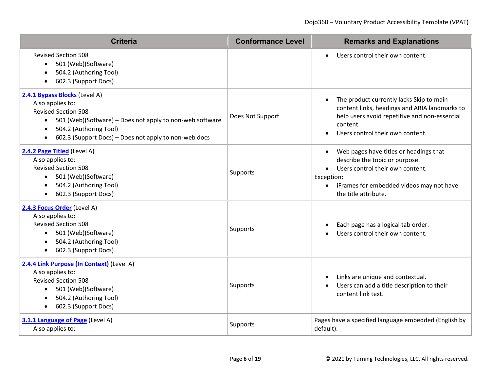| <b>Criteria</b>                                                                                                                                                                                                                                                       | <b>Conformance Level</b> | <b>Remarks and Explanations</b>                                                                                                                                                                                                       |
|-----------------------------------------------------------------------------------------------------------------------------------------------------------------------------------------------------------------------------------------------------------------------|--------------------------|---------------------------------------------------------------------------------------------------------------------------------------------------------------------------------------------------------------------------------------|
| <b>Revised Section 508</b><br>501 (Web)(Software)<br>$\bullet$<br>504.2 (Authoring Tool)<br>$\bullet$<br>602.3 (Support Docs)<br>$\bullet$                                                                                                                            |                          | Users control their own content.<br>$\bullet$                                                                                                                                                                                         |
| 2.4.1 Bypass Blocks (Level A)<br>Also applies to:<br><b>Revised Section 508</b><br>501 (Web)(Software) – Does not apply to non-web software<br>$\bullet$<br>504.2 (Authoring Tool)<br>$\bullet$<br>602.3 (Support Docs) - Does not apply to non-web docs<br>$\bullet$ | Does Not Support         | The product currently lacks Skip to main<br>$\bullet$<br>content links, headings and ARIA landmarks to<br>help users avoid repetitive and non-essential<br>content.<br>Users control their own content.                               |
| 2.4.2 Page Titled (Level A)<br>Also applies to:<br><b>Revised Section 508</b><br>501 (Web)(Software)<br>$\bullet$<br>504.2 (Authoring Tool)<br>$\bullet$<br>602.3 (Support Docs)<br>$\bullet$                                                                         | Supports                 | Web pages have titles or headings that<br>$\bullet$<br>describe the topic or purpose.<br>Users control their own content.<br>$\bullet$<br>Exception:<br>iFrames for embedded videos may not have<br>$\bullet$<br>the title attribute. |
| 2.4.3 Focus Order (Level A)<br>Also applies to:<br><b>Revised Section 508</b><br>501 (Web)(Software)<br>$\bullet$<br>504.2 (Authoring Tool)<br>$\bullet$<br>602.3 (Support Docs)<br>$\bullet$                                                                         | Supports                 | Each page has a logical tab order.<br>Users control their own content.                                                                                                                                                                |
| 2.4.4 Link Purpose (In Context) (Level A)<br>Also applies to:<br><b>Revised Section 508</b><br>501 (Web)(Software)<br>$\bullet$<br>504.2 (Authoring Tool)<br>$\bullet$<br>602.3 (Support Docs)<br>$\bullet$                                                           | Supports                 | Links are unique and contextual.<br>$\bullet$<br>Users can add a title description to their<br>$\bullet$<br>content link text.                                                                                                        |
| 3.1.1 Language of Page (Level A)<br>Also applies to:                                                                                                                                                                                                                  | Supports                 | Pages have a specified language embedded (English by<br>default).                                                                                                                                                                     |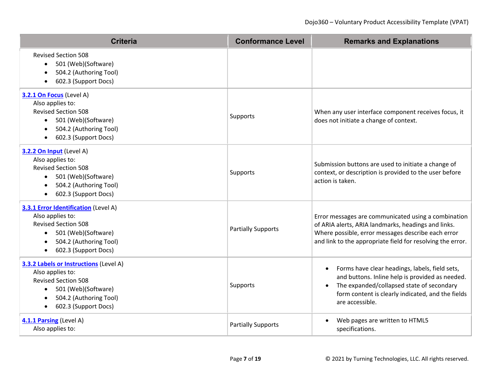| <b>Criteria</b>                                                                                                                                                                                                 | <b>Conformance Level</b>  | <b>Remarks and Explanations</b>                                                                                                                                                                                                     |
|-----------------------------------------------------------------------------------------------------------------------------------------------------------------------------------------------------------------|---------------------------|-------------------------------------------------------------------------------------------------------------------------------------------------------------------------------------------------------------------------------------|
| <b>Revised Section 508</b><br>501 (Web)(Software)<br>$\bullet$<br>504.2 (Authoring Tool)<br>602.3 (Support Docs)<br>$\bullet$                                                                                   |                           |                                                                                                                                                                                                                                     |
| 3.2.1 On Focus (Level A)<br>Also applies to:<br><b>Revised Section 508</b><br>501 (Web)(Software)<br>$\bullet$<br>504.2 (Authoring Tool)<br>$\bullet$<br>602.3 (Support Docs)<br>$\bullet$                      | Supports                  | When any user interface component receives focus, it<br>does not initiate a change of context.                                                                                                                                      |
| 3.2.2 On Input (Level A)<br>Also applies to:<br><b>Revised Section 508</b><br>501 (Web)(Software)<br>$\bullet$<br>504.2 (Authoring Tool)<br>$\bullet$<br>602.3 (Support Docs)<br>$\bullet$                      | Supports                  | Submission buttons are used to initiate a change of<br>context, or description is provided to the user before<br>action is taken.                                                                                                   |
| <b>3.3.1 Error Identification (Level A)</b><br>Also applies to:<br><b>Revised Section 508</b><br>501 (Web)(Software)<br>$\bullet$<br>504.2 (Authoring Tool)<br>$\bullet$<br>602.3 (Support Docs)<br>$\bullet$   | <b>Partially Supports</b> | Error messages are communicated using a combination<br>of ARIA alerts, ARIA landmarks, headings and links.<br>Where possible, error messages describe each error<br>and link to the appropriate field for resolving the error.      |
| <b>3.3.2 Labels or Instructions (Level A)</b><br>Also applies to:<br><b>Revised Section 508</b><br>501 (Web)(Software)<br>$\bullet$<br>504.2 (Authoring Tool)<br>$\bullet$<br>602.3 (Support Docs)<br>$\bullet$ | Supports                  | Forms have clear headings, labels, field sets,<br>$\bullet$<br>and buttons. Inline help is provided as needed.<br>The expanded/collapsed state of secondary<br>form content is clearly indicated, and the fields<br>are accessible. |
| 4.1.1 Parsing (Level A)<br>Also applies to:                                                                                                                                                                     | <b>Partially Supports</b> | Web pages are written to HTML5<br>specifications.                                                                                                                                                                                   |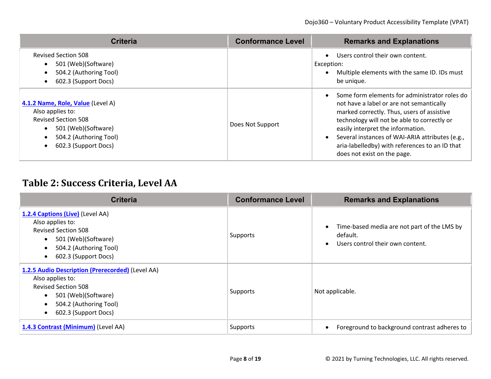| <b>Criteria</b>                                                                                                                                                           | <b>Conformance Level</b> | <b>Remarks and Explanations</b>                                                                                                                                                                                                                                                                                                                                 |
|---------------------------------------------------------------------------------------------------------------------------------------------------------------------------|--------------------------|-----------------------------------------------------------------------------------------------------------------------------------------------------------------------------------------------------------------------------------------------------------------------------------------------------------------------------------------------------------------|
| <b>Revised Section 508</b><br>501 (Web)(Software)<br>504.2 (Authoring Tool)<br>$\bullet$<br>602.3 (Support Docs)<br>$\bullet$                                             |                          | Users control their own content.<br>Exception:<br>Multiple elements with the same ID. IDs must<br>be unique.                                                                                                                                                                                                                                                    |
| 4.1.2 Name, Role, Value (Level A)<br>Also applies to:<br><b>Revised Section 508</b><br>501 (Web)(Software)<br>504.2 (Authoring Tool)<br>$\bullet$<br>602.3 (Support Docs) | Does Not Support         | Some form elements for administrator roles do<br>not have a label or are not semantically<br>marked correctly. Thus, users of assistive<br>technology will not be able to correctly or<br>easily interpret the information.<br>Several instances of WAI-ARIA attributes (e.g.,<br>aria-labelledby) with references to an ID that<br>does not exist on the page. |

#### **Table 2: Success Criteria, Level AA**

| <b>Criteria</b>                                                                                                                                                                                                    | <b>Conformance Level</b> | <b>Remarks and Explanations</b>                                                             |
|--------------------------------------------------------------------------------------------------------------------------------------------------------------------------------------------------------------------|--------------------------|---------------------------------------------------------------------------------------------|
| 1.2.4 Captions (Live) (Level AA)<br>Also applies to:<br><b>Revised Section 508</b><br>501 (Web)(Software)<br>$\bullet$<br>504.2 (Authoring Tool)<br>$\bullet$<br>602.3 (Support Docs)                              | Supports                 | Time-based media are not part of the LMS by<br>default.<br>Users control their own content. |
| 1.2.5 Audio Description (Prerecorded) (Level AA)<br>Also applies to:<br><b>Revised Section 508</b><br>501 (Web)(Software)<br>$\bullet$<br>504.2 (Authoring Tool)<br>$\bullet$<br>602.3 (Support Docs)<br>$\bullet$ | Supports                 | Not applicable.                                                                             |
| 1.4.3 Contrast (Minimum) (Level AA)                                                                                                                                                                                | Supports                 | Foreground to background contrast adheres to                                                |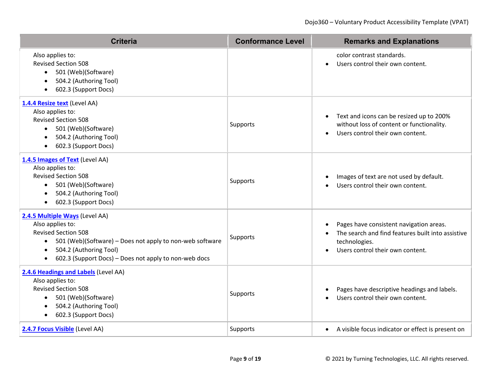| <b>Criteria</b>                                                                                                                                                                                                                                                        | <b>Conformance Level</b> | <b>Remarks and Explanations</b>                                                                                                                     |
|------------------------------------------------------------------------------------------------------------------------------------------------------------------------------------------------------------------------------------------------------------------------|--------------------------|-----------------------------------------------------------------------------------------------------------------------------------------------------|
| Also applies to:<br><b>Revised Section 508</b><br>501 (Web)(Software)<br>$\bullet$<br>504.2 (Authoring Tool)<br>$\bullet$<br>602.3 (Support Docs)<br>$\bullet$                                                                                                         |                          | color contrast standards.<br>Users control their own content.<br>$\bullet$                                                                          |
| 1.4.4 Resize text (Level AA)<br>Also applies to:<br><b>Revised Section 508</b><br>501 (Web)(Software)<br>$\bullet$<br>504.2 (Authoring Tool)<br>$\bullet$<br>602.3 (Support Docs)<br>$\bullet$                                                                         | Supports                 | Text and icons can be resized up to 200%<br>$\bullet$<br>without loss of content or functionality.<br>Users control their own content.<br>$\bullet$ |
| 1.4.5 Images of Text (Level AA)<br>Also applies to:<br><b>Revised Section 508</b><br>501 (Web)(Software)<br>$\bullet$<br>504.2 (Authoring Tool)<br>$\bullet$<br>602.3 (Support Docs)<br>$\bullet$                                                                      | Supports                 | Images of text are not used by default.<br>Users control their own content.                                                                         |
| 2.4.5 Multiple Ways (Level AA)<br>Also applies to:<br><b>Revised Section 508</b><br>501 (Web)(Software) - Does not apply to non-web software<br>$\bullet$<br>504.2 (Authoring Tool)<br>$\bullet$<br>602.3 (Support Docs) – Does not apply to non-web docs<br>$\bullet$ | Supports                 | Pages have consistent navigation areas.<br>The search and find features built into assistive<br>technologies.<br>Users control their own content.   |
| 2.4.6 Headings and Labels (Level AA)<br>Also applies to:<br><b>Revised Section 508</b><br>501 (Web)(Software)<br>$\bullet$<br>504.2 (Authoring Tool)<br>$\bullet$<br>602.3 (Support Docs)<br>$\bullet$                                                                 | Supports                 | Pages have descriptive headings and labels.<br>Users control their own content.                                                                     |
| 2.4.7 Focus Visible (Level AA)                                                                                                                                                                                                                                         | Supports                 | • A visible focus indicator or effect is present on                                                                                                 |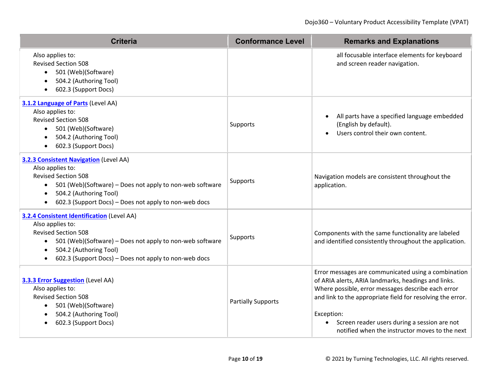| <b>Criteria</b>                                                                                                                                                                                                                                                                       | <b>Conformance Level</b>  | <b>Remarks and Explanations</b>                                                                                                                                                                                                                                                                                                                |
|---------------------------------------------------------------------------------------------------------------------------------------------------------------------------------------------------------------------------------------------------------------------------------------|---------------------------|------------------------------------------------------------------------------------------------------------------------------------------------------------------------------------------------------------------------------------------------------------------------------------------------------------------------------------------------|
| Also applies to:<br><b>Revised Section 508</b><br>501 (Web)(Software)<br>$\bullet$<br>504.2 (Authoring Tool)<br>$\bullet$<br>602.3 (Support Docs)<br>$\bullet$                                                                                                                        |                           | all focusable interface elements for keyboard<br>and screen reader navigation.                                                                                                                                                                                                                                                                 |
| 3.1.2 Language of Parts (Level AA)<br>Also applies to:<br><b>Revised Section 508</b><br>501 (Web)(Software)<br>$\bullet$<br>504.2 (Authoring Tool)<br>$\bullet$<br>602.3 (Support Docs)<br>$\bullet$                                                                                  | Supports                  | All parts have a specified language embedded<br>(English by default).<br>Users control their own content.                                                                                                                                                                                                                                      |
| <b>3.2.3 Consistent Navigation (Level AA)</b><br>Also applies to:<br><b>Revised Section 508</b><br>501 (Web)(Software) - Does not apply to non-web software<br>$\bullet$<br>504.2 (Authoring Tool)<br>$\bullet$<br>602.3 (Support Docs) - Does not apply to non-web docs<br>$\bullet$ | Supports                  | Navigation models are consistent throughout the<br>application.                                                                                                                                                                                                                                                                                |
| 3.2.4 Consistent Identification (Level AA)<br>Also applies to:<br><b>Revised Section 508</b><br>501 (Web)(Software) - Does not apply to non-web software<br>$\bullet$<br>504.2 (Authoring Tool)<br>$\bullet$<br>602.3 (Support Docs) – Does not apply to non-web docs                 | Supports                  | Components with the same functionality are labeled<br>and identified consistently throughout the application.                                                                                                                                                                                                                                  |
| <b>3.3.3 Error Suggestion</b> (Level AA)<br>Also applies to:<br><b>Revised Section 508</b><br>501 (Web)(Software)<br>$\bullet$<br>504.2 (Authoring Tool)<br>$\bullet$<br>602.3 (Support Docs)                                                                                         | <b>Partially Supports</b> | Error messages are communicated using a combination<br>of ARIA alerts, ARIA landmarks, headings and links.<br>Where possible, error messages describe each error<br>and link to the appropriate field for resolving the error.<br>Exception:<br>Screen reader users during a session are not<br>notified when the instructor moves to the next |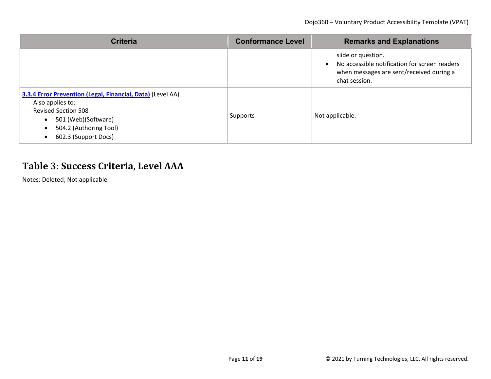| <b>Criteria</b>                                                                                                                                                                                                 | <b>Conformance Level</b> | <b>Remarks and Explanations</b>                                                                                                  |
|-----------------------------------------------------------------------------------------------------------------------------------------------------------------------------------------------------------------|--------------------------|----------------------------------------------------------------------------------------------------------------------------------|
|                                                                                                                                                                                                                 |                          | slide or question.<br>No accessible notification for screen readers<br>when messages are sent/received during a<br>chat session. |
| 3.3.4 Error Prevention (Legal, Financial, Data) (Level AA)<br>Also applies to:<br><b>Revised Section 508</b><br>501 (Web)(Software)<br>$\bullet$<br>504.2 (Authoring Tool)<br>$\bullet$<br>602.3 (Support Docs) | Supports                 | Not applicable.                                                                                                                  |

#### **Table 3: Success Criteria, Level AAA**

Notes: Deleted; Not applicable.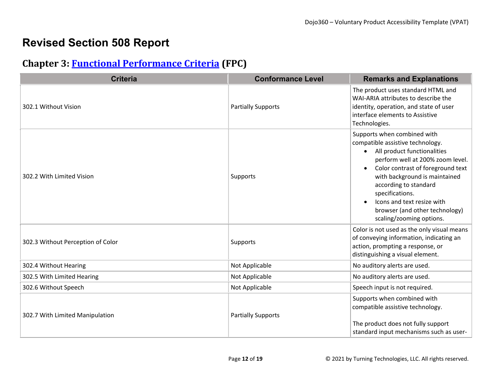## **Revised Section 508 Report**

#### **Chapter 3: [Functional Performance Criteria](https://www.access-board.gov/guidelines-and-standards/communications-and-it/about-the-ict-refresh/final-rule/text-of-the-standards-and-guidelines#302-functional-performance-criteria) (FPC)**

| <b>Criteria</b>                   | <b>Conformance Level</b>  | <b>Remarks and Explanations</b>                                                                                                                                                                                                                                                                                                                               |
|-----------------------------------|---------------------------|---------------------------------------------------------------------------------------------------------------------------------------------------------------------------------------------------------------------------------------------------------------------------------------------------------------------------------------------------------------|
| 302.1 Without Vision              | <b>Partially Supports</b> | The product uses standard HTML and<br>WAI-ARIA attributes to describe the<br>identity, operation, and state of user<br>interface elements to Assistive<br>Technologies.                                                                                                                                                                                       |
| 302.2 With Limited Vision         | Supports                  | Supports when combined with<br>compatible assistive technology.<br>All product functionalities<br>$\bullet$<br>perform well at 200% zoom level.<br>Color contrast of foreground text<br>with background is maintained<br>according to standard<br>specifications.<br>Icons and text resize with<br>browser (and other technology)<br>scaling/zooming options. |
| 302.3 Without Perception of Color | Supports                  | Color is not used as the only visual means<br>of conveying information, indicating an<br>action, prompting a response, or<br>distinguishing a visual element.                                                                                                                                                                                                 |
| 302.4 Without Hearing             | Not Applicable            | No auditory alerts are used.                                                                                                                                                                                                                                                                                                                                  |
| 302.5 With Limited Hearing        | Not Applicable            | No auditory alerts are used.                                                                                                                                                                                                                                                                                                                                  |
| 302.6 Without Speech              | Not Applicable            | Speech input is not required.                                                                                                                                                                                                                                                                                                                                 |
| 302.7 With Limited Manipulation   | <b>Partially Supports</b> | Supports when combined with<br>compatible assistive technology.<br>The product does not fully support<br>standard input mechanisms such as user-                                                                                                                                                                                                              |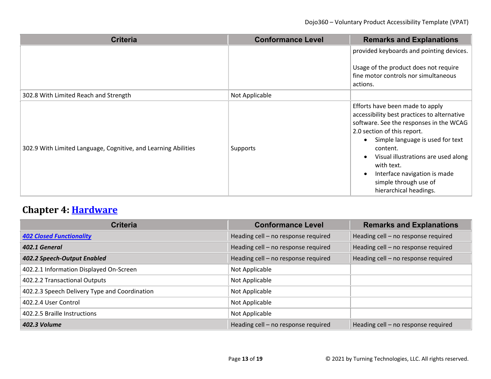| <b>Criteria</b>                                                | <b>Conformance Level</b> | <b>Remarks and Explanations</b>                                                                                                                                                                                                                                                                                                                  |
|----------------------------------------------------------------|--------------------------|--------------------------------------------------------------------------------------------------------------------------------------------------------------------------------------------------------------------------------------------------------------------------------------------------------------------------------------------------|
|                                                                |                          | provided keyboards and pointing devices.<br>Usage of the product does not require<br>fine motor controls nor simultaneous<br>actions.                                                                                                                                                                                                            |
| 302.8 With Limited Reach and Strength                          | Not Applicable           |                                                                                                                                                                                                                                                                                                                                                  |
| 302.9 With Limited Language, Cognitive, and Learning Abilities | Supports                 | Efforts have been made to apply<br>accessibility best practices to alternative<br>software. See the responses in the WCAG<br>2.0 section of this report.<br>Simple language is used for text<br>content.<br>Visual illustrations are used along<br>with text.<br>Interface navigation is made<br>simple through use of<br>hierarchical headings. |

# **Chapter 4: [Hardware](https://www.access-board.gov/guidelines-and-standards/communications-and-it/about-the-ict-refresh/final-rule/text-of-the-standards-and-guidelines#401-general)**

| <b>Criteria</b>                               | <b>Conformance Level</b>            | <b>Remarks and Explanations</b>     |
|-----------------------------------------------|-------------------------------------|-------------------------------------|
| <b>402 Closed Functionality</b>               | Heading cell - no response required | Heading cell - no response required |
| 402.1 General                                 | Heading cell - no response required | Heading cell - no response required |
| 402.2 Speech-Output Enabled                   | Heading cell - no response required | Heading cell - no response required |
| 402.2.1 Information Displayed On-Screen       | Not Applicable                      |                                     |
| 402.2.2 Transactional Outputs                 | Not Applicable                      |                                     |
| 402.2.3 Speech Delivery Type and Coordination | Not Applicable                      |                                     |
| 402.2.4 User Control                          | Not Applicable                      |                                     |
| 402.2.5 Braille Instructions                  | Not Applicable                      |                                     |
| 402.3 Volume                                  | Heading cell - no response required | Heading cell - no response required |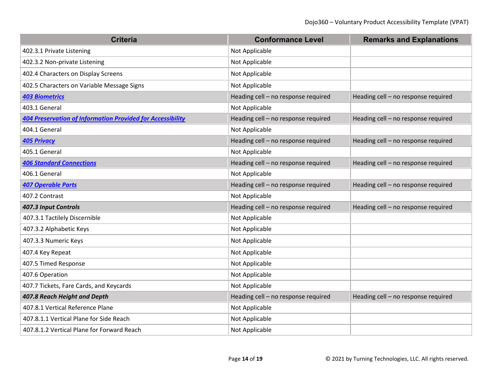| <b>Criteria</b>                                                   | <b>Conformance Level</b>            | <b>Remarks and Explanations</b>     |
|-------------------------------------------------------------------|-------------------------------------|-------------------------------------|
| 402.3.1 Private Listening                                         | Not Applicable                      |                                     |
| 402.3.2 Non-private Listening                                     | Not Applicable                      |                                     |
| 402.4 Characters on Display Screens                               | Not Applicable                      |                                     |
| 402.5 Characters on Variable Message Signs                        | Not Applicable                      |                                     |
| <b>403 Biometrics</b>                                             | Heading cell - no response required | Heading cell - no response required |
| 403.1 General                                                     | Not Applicable                      |                                     |
| <b>404 Preservation of Information Provided for Accessibility</b> | Heading cell - no response required | Heading cell - no response required |
| 404.1 General                                                     | Not Applicable                      |                                     |
| <b>405 Privacy</b>                                                | Heading cell - no response required | Heading cell - no response required |
| 405.1 General                                                     | Not Applicable                      |                                     |
| <b>406 Standard Connections</b>                                   | Heading cell - no response required | Heading cell - no response required |
| 406.1 General                                                     | Not Applicable                      |                                     |
| 407 Operable Parts                                                | Heading cell - no response required | Heading cell - no response required |
| 407.2 Contrast                                                    | Not Applicable                      |                                     |
| 407.3 Input Controls                                              | Heading cell - no response required | Heading cell - no response required |
| 407.3.1 Tactilely Discernible                                     | Not Applicable                      |                                     |
| 407.3.2 Alphabetic Keys                                           | Not Applicable                      |                                     |
| 407.3.3 Numeric Keys                                              | Not Applicable                      |                                     |
| 407.4 Key Repeat                                                  | Not Applicable                      |                                     |
| 407.5 Timed Response                                              | Not Applicable                      |                                     |
| 407.6 Operation                                                   | Not Applicable                      |                                     |
| 407.7 Tickets, Fare Cards, and Keycards                           | Not Applicable                      |                                     |
| 407.8 Reach Height and Depth                                      | Heading cell - no response required | Heading cell - no response required |
| 407.8.1 Vertical Reference Plane                                  | Not Applicable                      |                                     |
| 407.8.1.1 Vertical Plane for Side Reach                           | Not Applicable                      |                                     |
| 407.8.1.2 Vertical Plane for Forward Reach                        | Not Applicable                      |                                     |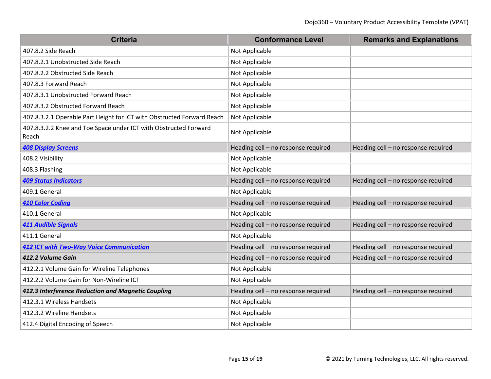| <b>Criteria</b>                                                           | <b>Conformance Level</b>            | <b>Remarks and Explanations</b>     |
|---------------------------------------------------------------------------|-------------------------------------|-------------------------------------|
| 407.8.2 Side Reach                                                        | Not Applicable                      |                                     |
| 407.8.2.1 Unobstructed Side Reach                                         | Not Applicable                      |                                     |
| 407.8.2.2 Obstructed Side Reach                                           | Not Applicable                      |                                     |
| 407.8.3 Forward Reach                                                     | Not Applicable                      |                                     |
| 407.8.3.1 Unobstructed Forward Reach                                      | Not Applicable                      |                                     |
| 407.8.3.2 Obstructed Forward Reach                                        | Not Applicable                      |                                     |
| 407.8.3.2.1 Operable Part Height for ICT with Obstructed Forward Reach    | Not Applicable                      |                                     |
| 407.8.3.2.2 Knee and Toe Space under ICT with Obstructed Forward<br>Reach | Not Applicable                      |                                     |
| <b>408 Display Screens</b>                                                | Heading cell - no response required | Heading cell - no response required |
| 408.2 Visibility                                                          | Not Applicable                      |                                     |
| 408.3 Flashing                                                            | Not Applicable                      |                                     |
| <b>409 Status Indicators</b>                                              | Heading cell - no response required | Heading cell - no response required |
| 409.1 General                                                             | Not Applicable                      |                                     |
| <b>410 Color Coding</b>                                                   | Heading cell - no response required | Heading cell - no response required |
| 410.1 General                                                             | Not Applicable                      |                                     |
| <b>411 Audible Signals</b>                                                | Heading cell - no response required | Heading cell - no response required |
| 411.1 General                                                             | Not Applicable                      |                                     |
| <b>412 ICT with Two-Way Voice Communication</b>                           | Heading cell - no response required | Heading cell - no response required |
| 412.2 Volume Gain                                                         | Heading cell - no response required | Heading cell - no response required |
| 412.2.1 Volume Gain for Wireline Telephones                               | Not Applicable                      |                                     |
| 412.2.2 Volume Gain for Non-Wireline ICT                                  | Not Applicable                      |                                     |
| 412.3 Interference Reduction and Magnetic Coupling                        | Heading cell - no response required | Heading cell - no response required |
| 412.3.1 Wireless Handsets                                                 | Not Applicable                      |                                     |
| 412.3.2 Wireline Handsets                                                 | Not Applicable                      |                                     |
| 412.4 Digital Encoding of Speech                                          | Not Applicable                      |                                     |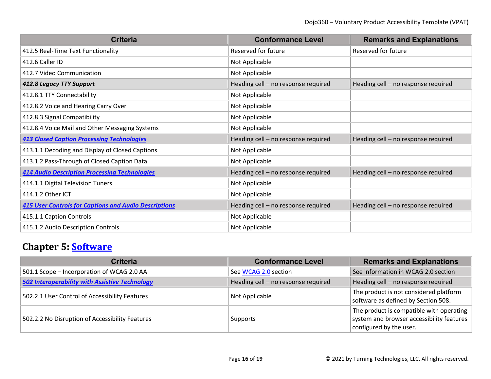| <b>Criteria</b>                                              | <b>Conformance Level</b>            | <b>Remarks and Explanations</b>     |
|--------------------------------------------------------------|-------------------------------------|-------------------------------------|
| 412.5 Real-Time Text Functionality                           | Reserved for future                 | Reserved for future                 |
| 412.6 Caller ID                                              | Not Applicable                      |                                     |
| 412.7 Video Communication                                    | Not Applicable                      |                                     |
| 412.8 Legacy TTY Support                                     | Heading cell - no response required | Heading cell - no response required |
| 412.8.1 TTY Connectability                                   | Not Applicable                      |                                     |
| 412.8.2 Voice and Hearing Carry Over                         | Not Applicable                      |                                     |
| 412.8.3 Signal Compatibility                                 | Not Applicable                      |                                     |
| 412.8.4 Voice Mail and Other Messaging Systems               | Not Applicable                      |                                     |
| <b>413 Closed Caption Processing Technologies</b>            | Heading cell - no response required | Heading cell - no response required |
| 413.1.1 Decoding and Display of Closed Captions              | Not Applicable                      |                                     |
| 413.1.2 Pass-Through of Closed Caption Data                  | Not Applicable                      |                                     |
| <b>414 Audio Description Processing Technologies</b>         | Heading cell - no response required | Heading cell - no response required |
| 414.1.1 Digital Television Tuners                            | Not Applicable                      |                                     |
| 414.1.2 Other ICT                                            | Not Applicable                      |                                     |
| <b>415 User Controls for Captions and Audio Descriptions</b> | Heading cell - no response required | Heading cell - no response required |
| 415.1.1 Caption Controls                                     | Not Applicable                      |                                     |
| 415.1.2 Audio Description Controls                           | Not Applicable                      |                                     |

## **Chapter 5: [Software](https://www.access-board.gov/guidelines-and-standards/communications-and-it/about-the-ict-refresh/final-rule/text-of-the-standards-and-guidelines#501-general)**

| <b>Criteria</b>                                       | <b>Conformance Level</b>            | <b>Remarks and Explanations</b>                                                                                  |
|-------------------------------------------------------|-------------------------------------|------------------------------------------------------------------------------------------------------------------|
| 501.1 Scope - Incorporation of WCAG 2.0 AA            | See WCAG 2.0 section                | See information in WCAG 2.0 section                                                                              |
| <b>502 Interoperability with Assistive Technology</b> | Heading cell - no response required | Heading cell - no response required                                                                              |
| 502.2.1 User Control of Accessibility Features        | Not Applicable                      | The product is not considered platform<br>software as defined by Section 508.                                    |
| 502.2.2 No Disruption of Accessibility Features       | Supports                            | The product is compatible with operating<br>system and browser accessibility features<br>configured by the user. |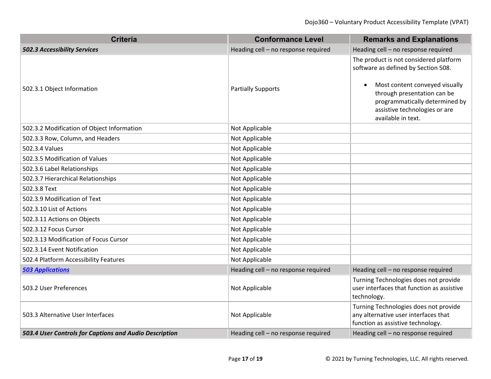| <b>Criteria</b>                                        | <b>Conformance Level</b>            | <b>Remarks and Explanations</b>                                                                                                                                                                                                                      |
|--------------------------------------------------------|-------------------------------------|------------------------------------------------------------------------------------------------------------------------------------------------------------------------------------------------------------------------------------------------------|
| <b>502.3 Accessibility Services</b>                    | Heading cell - no response required | Heading cell - no response required                                                                                                                                                                                                                  |
| 502.3.1 Object Information                             | <b>Partially Supports</b>           | The product is not considered platform<br>software as defined by Section 508.<br>Most content conveyed visually<br>$\bullet$<br>through presentation can be<br>programmatically determined by<br>assistive technologies or are<br>available in text. |
| 502.3.2 Modification of Object Information             | Not Applicable                      |                                                                                                                                                                                                                                                      |
| 502.3.3 Row, Column, and Headers                       | Not Applicable                      |                                                                                                                                                                                                                                                      |
| 502.3.4 Values                                         | Not Applicable                      |                                                                                                                                                                                                                                                      |
| 502.3.5 Modification of Values                         | Not Applicable                      |                                                                                                                                                                                                                                                      |
| 502.3.6 Label Relationships                            | Not Applicable                      |                                                                                                                                                                                                                                                      |
| 502.3.7 Hierarchical Relationships                     | Not Applicable                      |                                                                                                                                                                                                                                                      |
| 502.3.8 Text                                           | Not Applicable                      |                                                                                                                                                                                                                                                      |
| 502.3.9 Modification of Text                           | Not Applicable                      |                                                                                                                                                                                                                                                      |
| 502.3.10 List of Actions                               | Not Applicable                      |                                                                                                                                                                                                                                                      |
| 502.3.11 Actions on Objects                            | Not Applicable                      |                                                                                                                                                                                                                                                      |
| 502.3.12 Focus Cursor                                  | Not Applicable                      |                                                                                                                                                                                                                                                      |
| 502.3.13 Modification of Focus Cursor                  | Not Applicable                      |                                                                                                                                                                                                                                                      |
| 502.3.14 Event Notification                            | Not Applicable                      |                                                                                                                                                                                                                                                      |
| 502.4 Platform Accessibility Features                  | Not Applicable                      |                                                                                                                                                                                                                                                      |
| <b>503 Applications</b>                                | Heading cell - no response required | Heading cell - no response required                                                                                                                                                                                                                  |
| 503.2 User Preferences                                 | Not Applicable                      | Turning Technologies does not provide<br>user interfaces that function as assistive<br>technology.                                                                                                                                                   |
| 503.3 Alternative User Interfaces                      | Not Applicable                      | Turning Technologies does not provide<br>any alternative user interfaces that<br>function as assistive technology.                                                                                                                                   |
| 503.4 User Controls for Captions and Audio Description | Heading cell - no response required | Heading cell - no response required                                                                                                                                                                                                                  |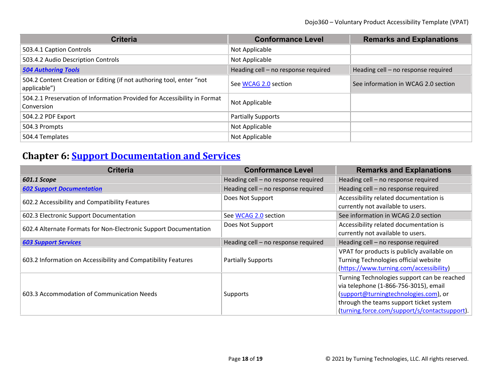| <b>Criteria</b>                                                                        | <b>Conformance Level</b>            | <b>Remarks and Explanations</b>     |
|----------------------------------------------------------------------------------------|-------------------------------------|-------------------------------------|
| 503.4.1 Caption Controls                                                               | Not Applicable                      |                                     |
| 503.4.2 Audio Description Controls                                                     | Not Applicable                      |                                     |
| <b>504 Authoring Tools</b>                                                             | Heading cell - no response required | Heading cell - no response required |
| 504.2 Content Creation or Editing (if not authoring tool, enter "not<br>applicable")   | See WCAG 2.0 section                | See information in WCAG 2.0 section |
| 504.2.1 Preservation of Information Provided for Accessibility in Format<br>Conversion | Not Applicable                      |                                     |
| 504.2.2 PDF Export                                                                     | <b>Partially Supports</b>           |                                     |
| 504.3 Prompts                                                                          | Not Applicable                      |                                     |
| 504.4 Templates                                                                        | Not Applicable                      |                                     |

## **Chapter 6: [Support Documentation and Services](https://www.access-board.gov/guidelines-and-standards/communications-and-it/about-the-ict-refresh/final-rule/text-of-the-standards-and-guidelines#601-general)**

| <b>Criteria</b>                                                  | <b>Conformance Level</b>            | <b>Remarks and Explanations</b>                                                                                                                                                                                           |
|------------------------------------------------------------------|-------------------------------------|---------------------------------------------------------------------------------------------------------------------------------------------------------------------------------------------------------------------------|
| 601.1 Scope                                                      | Heading cell - no response required | Heading cell - no response required                                                                                                                                                                                       |
| <b>602 Support Documentation</b>                                 | Heading cell - no response required | Heading cell - no response required                                                                                                                                                                                       |
| 602.2 Accessibility and Compatibility Features                   | Does Not Support                    | Accessibility related documentation is<br>currently not available to users.                                                                                                                                               |
| 602.3 Electronic Support Documentation                           | See WCAG 2.0 section                | See information in WCAG 2.0 section                                                                                                                                                                                       |
| 602.4 Alternate Formats for Non-Electronic Support Documentation | Does Not Support                    | Accessibility related documentation is                                                                                                                                                                                    |
|                                                                  |                                     | currently not available to users.                                                                                                                                                                                         |
| <b>603 Support Services</b>                                      | Heading cell - no response required | Heading cell - no response required                                                                                                                                                                                       |
| 603.2 Information on Accessibility and Compatibility Features    | <b>Partially Supports</b>           | VPAT for products is publicly available on<br>Turning Technologies official website<br>(https://www.turning.com/accessibility)                                                                                            |
| 603.3 Accommodation of Communication Needs                       | Supports                            | Turning Technologies support can be reached<br>via telephone (1-866-756-3015), email<br>(support@turningtechnologies.com), or<br>through the teams support ticket system<br>(turning.force.com/support/s/contactsupport). |